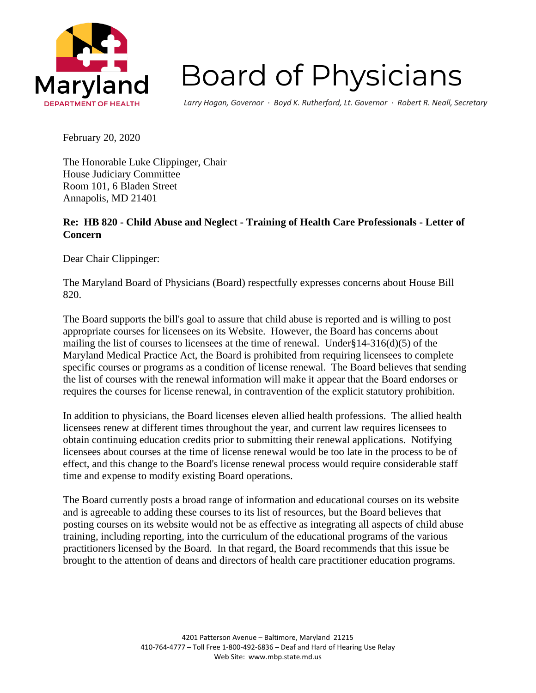

## **Board of Physicians**

*Larry Hogan, Governor ∙ Boyd K. Rutherford, Lt. Governor ∙ Robert R. Neall, Secretary*

February 20, 2020

The Honorable Luke Clippinger, Chair House Judiciary Committee Room 101, 6 Bladen Street Annapolis, MD 21401

## **Re: HB 820 - Child Abuse and Neglect - Training of Health Care Professionals - Letter of Concern**

Dear Chair Clippinger:

The Maryland Board of Physicians (Board) respectfully expresses concerns about House Bill 820.

The Board supports the bill's goal to assure that child abuse is reported and is willing to post appropriate courses for licensees on its Website. However, the Board has concerns about mailing the list of courses to licensees at the time of renewal. Under§14-316(d)(5) of the Maryland Medical Practice Act, the Board is prohibited from requiring licensees to complete specific courses or programs as a condition of license renewal. The Board believes that sending the list of courses with the renewal information will make it appear that the Board endorses or requires the courses for license renewal, in contravention of the explicit statutory prohibition.

In addition to physicians, the Board licenses eleven allied health professions. The allied health licensees renew at different times throughout the year, and current law requires licensees to obtain continuing education credits prior to submitting their renewal applications. Notifying licensees about courses at the time of license renewal would be too late in the process to be of effect, and this change to the Board's license renewal process would require considerable staff time and expense to modify existing Board operations.

The Board currently posts a broad range of information and educational courses on its website and is agreeable to adding these courses to its list of resources, but the Board believes that posting courses on its website would not be as effective as integrating all aspects of child abuse training, including reporting, into the curriculum of the educational programs of the various practitioners licensed by the Board. In that regard, the Board recommends that this issue be brought to the attention of deans and directors of health care practitioner education programs.